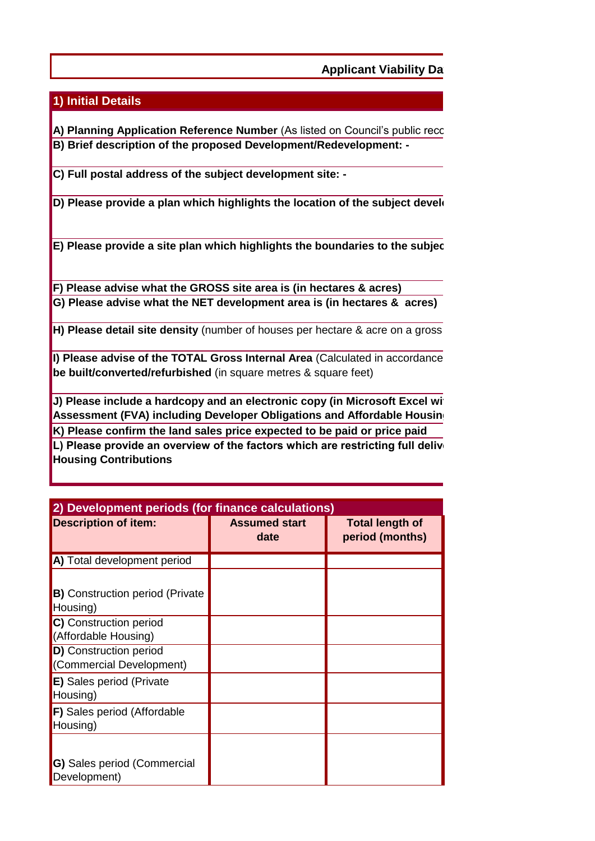**Applicant Viability Data** 

## **1) Initial Details**

**A) Planning Application Reference Number** (As listed on Council's public recc **B) Brief description of the proposed Development/Redevelopment: -**

**C) Full postal address of the subject development site: -**

**D) Please provide a plan which highlights the location of the subject develongly** 

**E) Please provide a site plan which highlights the boundaries to the subject** 

**G) Please advise what the NET development area is (in hectares & acres) F) Please advise what the GROSS site area is (in hectares & acres)**

**H) Please detail site density** (number of houses per hectare & acre on a gross

**I) Please advise of the TOTAL Gross Internal Area** (Calculated in accordance **be built/converted/refurbished** (in square metres & square feet)

**J) Please include a hardcopy and an electronic copy (in Microsoft Excel with policy of a policial viable financial Viable Assessment (FVA) including Developer Obligations and Affordable Housing K) Please confirm the land sales price expected to be paid or price paid**

L) Please provide an overview of the factors which are restricting full delive **Housing Contributions** 

| 2) Development periods (for finance calculations)         |                              |                                           |  |
|-----------------------------------------------------------|------------------------------|-------------------------------------------|--|
| <b>Description of item:</b>                               | <b>Assumed start</b><br>date | <b>Total length of</b><br>period (months) |  |
| A) Total development period                               |                              |                                           |  |
| <b>B)</b> Construction period (Private<br>Housing)        |                              |                                           |  |
| C) Construction period<br>(Affordable Housing)            |                              |                                           |  |
| <b>D)</b> Construction period<br>(Commercial Development) |                              |                                           |  |
| <b>E)</b> Sales period (Private<br>Housing)               |                              |                                           |  |
| F) Sales period (Affordable<br>Housing)                   |                              |                                           |  |
| <b>G)</b> Sales period (Commercial<br>Development)        |                              |                                           |  |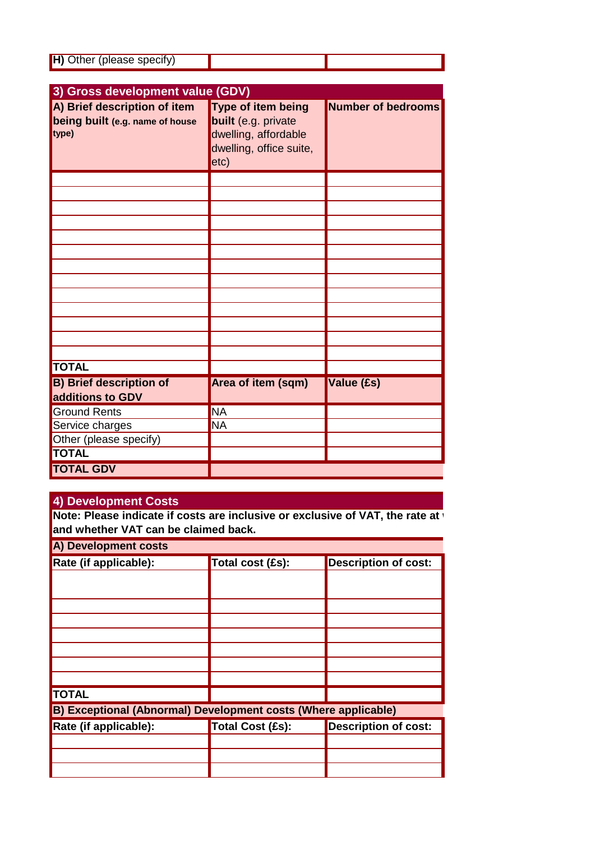| H) Other (please specify) |  |
|---------------------------|--|
|                           |  |

| 3) Gross development value (GDV)                                         |                                                                                                             |                           |
|--------------------------------------------------------------------------|-------------------------------------------------------------------------------------------------------------|---------------------------|
| A) Brief description of item<br>being built (e.g. name of house<br>type) | <b>Type of item being</b><br>built (e.g. private<br>dwelling, affordable<br>dwelling, office suite,<br>etc) | <b>Number of bedrooms</b> |
|                                                                          |                                                                                                             |                           |
|                                                                          |                                                                                                             |                           |
|                                                                          |                                                                                                             |                           |
|                                                                          |                                                                                                             |                           |
|                                                                          |                                                                                                             |                           |
|                                                                          |                                                                                                             |                           |
|                                                                          |                                                                                                             |                           |
|                                                                          |                                                                                                             |                           |
|                                                                          |                                                                                                             |                           |
|                                                                          |                                                                                                             |                           |
|                                                                          |                                                                                                             |                           |
|                                                                          |                                                                                                             |                           |
|                                                                          |                                                                                                             |                           |
| <b>TOTAL</b>                                                             |                                                                                                             |                           |
| <b>B) Brief description of</b><br>additions to GDV                       | Area of item (sqm)                                                                                          | Value (£s)                |
| <b>Ground Rents</b>                                                      | <b>NA</b>                                                                                                   |                           |
| Service charges                                                          | <b>NA</b>                                                                                                   |                           |
| Other (please specify)                                                   |                                                                                                             |                           |
| <b>TOTAL</b>                                                             |                                                                                                             |                           |
| <b>TOTAL GDV</b>                                                         |                                                                                                             |                           |

## **4) Development Costs**

**Note: Please indicate if costs are inclusive or exclusive of VAT, the rate at village and whether VAT can be claimed back.**

**A) Development costs**

| $\mathbf{p}$ porciophical codes                                |                  |                             |  |
|----------------------------------------------------------------|------------------|-----------------------------|--|
| Rate (if applicable):                                          | Total cost (£s): | <b>Description of cost:</b> |  |
|                                                                |                  |                             |  |
|                                                                |                  |                             |  |
|                                                                |                  |                             |  |
|                                                                |                  |                             |  |
|                                                                |                  |                             |  |
|                                                                |                  |                             |  |
|                                                                |                  |                             |  |
|                                                                |                  |                             |  |
| <b>TOTAL</b>                                                   |                  |                             |  |
| B) Exceptional (Abnormal) Development costs (Where applicable) |                  |                             |  |
| Rate (if applicable):                                          | Total Cost (£s): | <b>Description of cost:</b> |  |
|                                                                |                  |                             |  |
|                                                                |                  |                             |  |
|                                                                |                  |                             |  |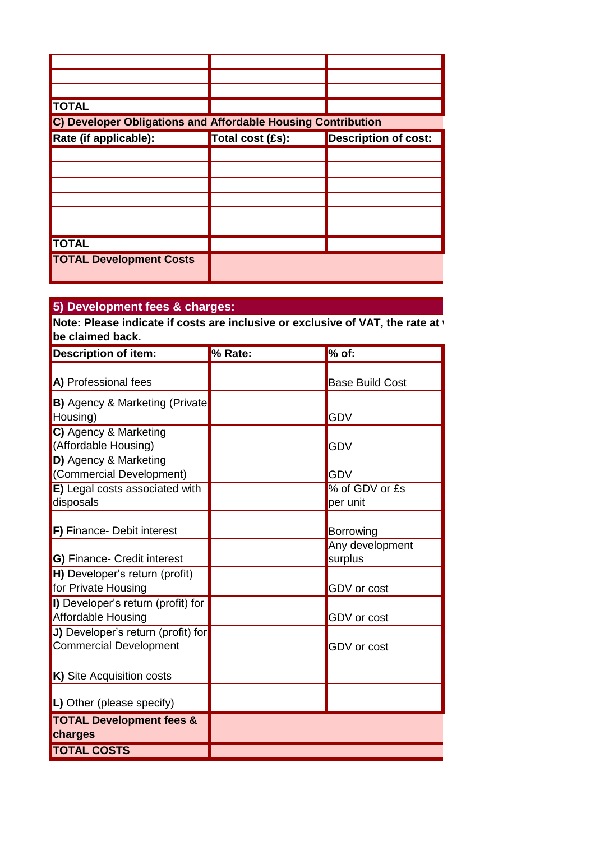| <b>TOTAL</b>                                                 |                  |                             |
|--------------------------------------------------------------|------------------|-----------------------------|
| C) Developer Obligations and Affordable Housing Contribution |                  |                             |
| Rate (if applicable):                                        | Total cost (£s): | <b>Description of cost:</b> |
|                                                              |                  |                             |
|                                                              |                  |                             |
|                                                              |                  |                             |
|                                                              |                  |                             |
|                                                              |                  |                             |
|                                                              |                  |                             |
| <b>TOTAL</b>                                                 |                  |                             |
| <b>TOTAL Development Costs</b>                               |                  |                             |

## **5) Development fees & charges:**

**Note: Please indicate if costs are inclusive or exclusive of VAT, the rate at v be claimed back.**

| <b>Description of item:</b>           | % Rate: | $%$ of:                |
|---------------------------------------|---------|------------------------|
| A) Professional fees                  |         | <b>Base Build Cost</b> |
|                                       |         |                        |
| <b>B)</b> Agency & Marketing (Private |         |                        |
| Housing)                              |         | <b>GDV</b>             |
| C) Agency & Marketing                 |         |                        |
| (Affordable Housing)                  |         | <b>GDV</b>             |
| D) Agency & Marketing                 |         |                        |
| (Commercial Development)              |         | <b>GDV</b>             |
| E) Legal costs associated with        |         | % of GDV or £s         |
| disposals                             |         | per unit               |
|                                       |         |                        |
| F) Finance- Debit interest            |         | Borrowing              |
|                                       |         | Any development        |
| <b>G)</b> Finance- Credit interest    |         | surplus                |
| H) Developer's return (profit)        |         |                        |
| for Private Housing                   |         | GDV or cost            |
| I) Developer's return (profit) for    |         |                        |
| Affordable Housing                    |         | GDV or cost            |
| J) Developer's return (profit) for    |         |                        |
| Commercial Development                |         | <b>GDV</b> or cost     |
|                                       |         |                        |
| K) Site Acquisition costs             |         |                        |
|                                       |         |                        |
| L) Other (please specify)             |         |                        |
| <b>TOTAL Development fees &amp;</b>   |         |                        |
| charges                               |         |                        |
| <b>TOTAL COSTS</b>                    |         |                        |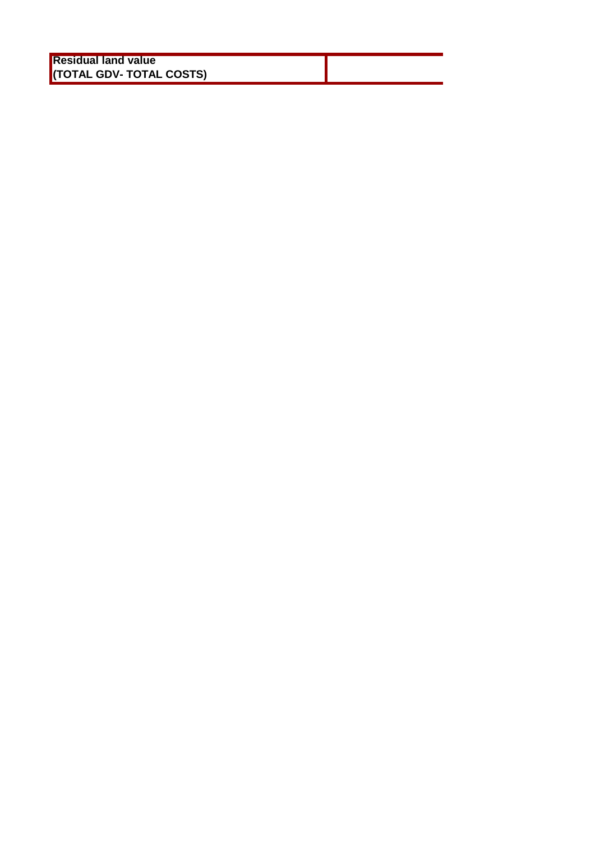| <b>Residual land value</b> |  |
|----------------------------|--|
| (TOTAL GDV- TOTAL COSTS)   |  |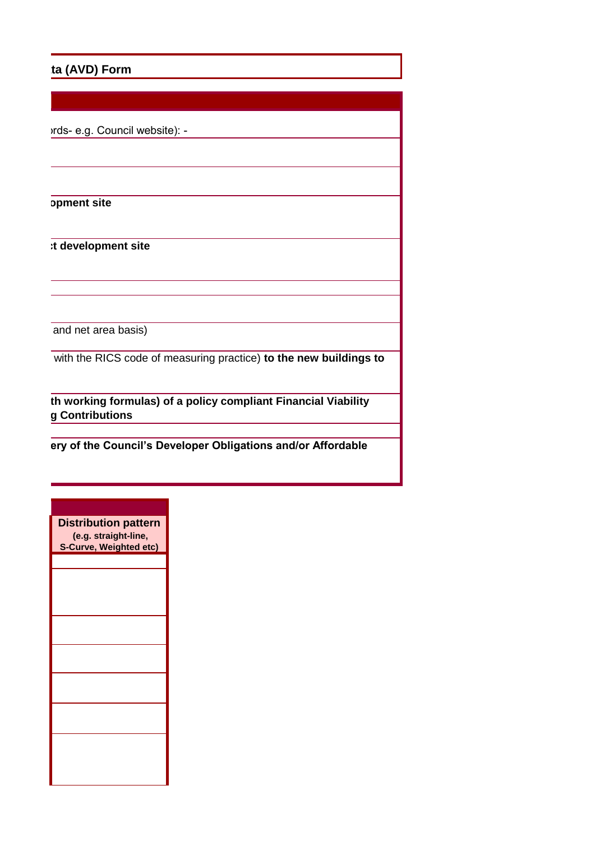## ta (AVD) Form

*M* Prds- e.g. Council website): -

**D**pment site

**Et development site** 

and net area basis)

with the RICS code of measuring practice) **to the new buildings to** 

**th working formulas) of a policy compliant Financial Viability g** Contributions

**Lery of the Council's Developer Obligations and/or Affordable** 

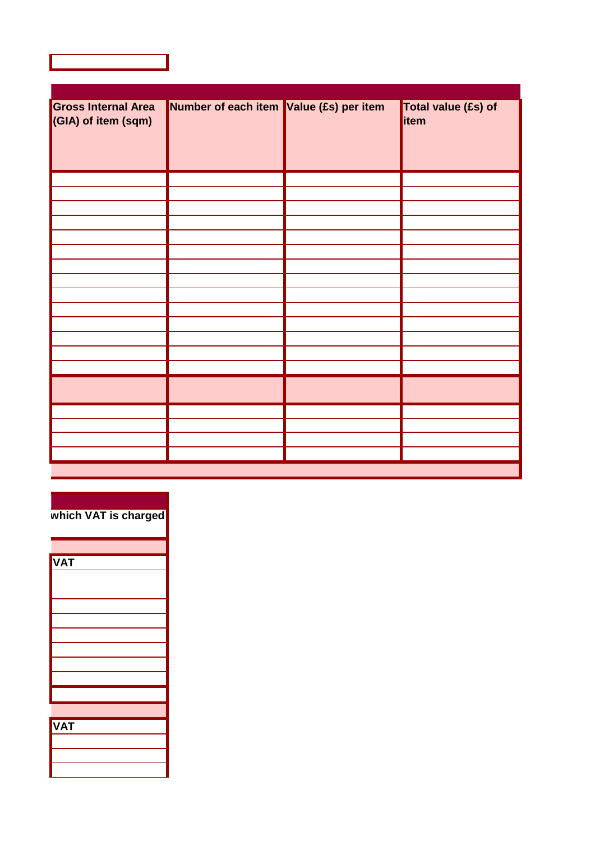| <b>Gross Internal Area</b><br>(GIA) of item (sqm) | Number of each item Value (£s) per item | Total value (£s) of<br>item |
|---------------------------------------------------|-----------------------------------------|-----------------------------|
|                                                   |                                         |                             |
|                                                   |                                         |                             |
|                                                   |                                         |                             |
|                                                   |                                         |                             |
|                                                   |                                         |                             |
|                                                   |                                         |                             |
|                                                   |                                         |                             |
|                                                   |                                         |                             |
|                                                   |                                         |                             |
|                                                   |                                         |                             |
|                                                   |                                         |                             |
|                                                   |                                         |                             |
|                                                   |                                         |                             |
|                                                   |                                         |                             |
|                                                   |                                         |                             |
|                                                   |                                         |                             |
|                                                   |                                         |                             |
|                                                   |                                         |                             |
|                                                   |                                         |                             |
|                                                   |                                         |                             |

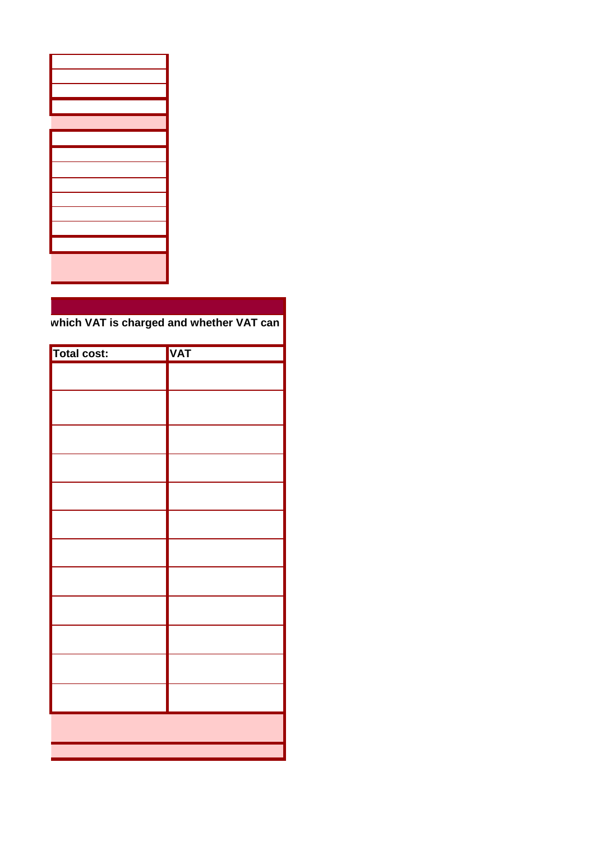which VAT is charged and whether VAT can

| Total cost: | <b>VAT</b> |
|-------------|------------|
|             |            |
|             |            |
|             |            |
|             |            |
|             |            |
|             |            |
|             |            |
|             |            |
|             |            |
|             |            |
|             |            |
|             |            |
|             |            |
|             |            |